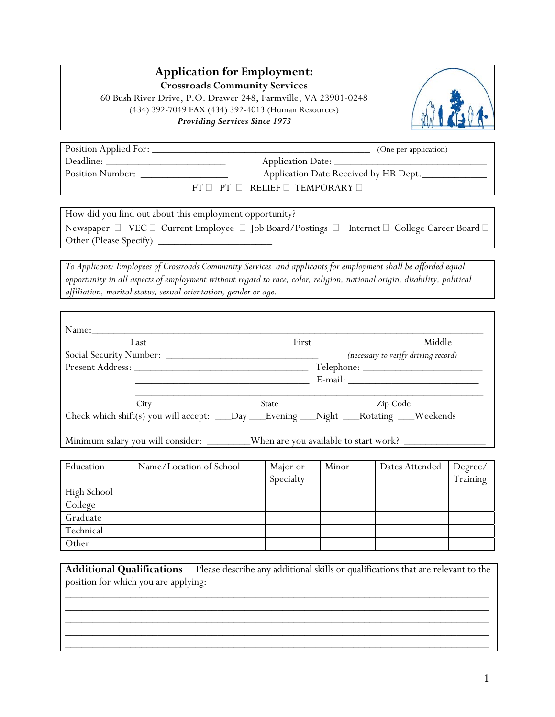# **Application for Employment:**

**Crossroads Community Services**

60 Bush River Drive, P.O. Drawer 248, Farmville, VA 23901-0248 (434) 392-7049 FAX (434) 392-4013 (Human Resources) *Providing Services Since 1973* 



| Position Applied For:   | (One per application)                        |
|-------------------------|----------------------------------------------|
| Deadline:               | Application Date:                            |
| <b>Position Number:</b> | Application Date Received by HR Dept.        |
|                         | $FT \Box PT \Box RELIEF \Box TEMPORARY \Box$ |

How did you find out about this employment opportunity? Newspaper  $\Box$  VEC  $\Box$  Current Employee  $\Box$  Job Board/Postings  $\Box$  Internet  $\Box$  College Career Board  $\Box$ Other (Please Specify)

*To Applicant: Employees of Crossroads Community Services and applicants for employment shall be afforded equal opportunity in all aspects of employment without regard to race, color, religion, national origin, disability, political affiliation, marital status, sexual orientation, gender or age.* 

| $Name:\_$<br>Last                                                                        | First | Middle                               |
|------------------------------------------------------------------------------------------|-------|--------------------------------------|
|                                                                                          |       | (necessary to verify driving record) |
| Present Address:                                                                         |       |                                      |
|                                                                                          |       |                                      |
| City                                                                                     | State | Zip Code                             |
| Check which shift(s) you will accept: ___Day ___Evening ___Night ___Rotating ___Weekends |       |                                      |

Minimum salary you will consider: \_\_\_\_\_\_\_\_\_\_When are you available to start work?

| Education   | Name/Location of School | Major or  | Minor | Dates Attended | Degree/  |
|-------------|-------------------------|-----------|-------|----------------|----------|
|             |                         | Specialty |       |                | Training |
| High School |                         |           |       |                |          |
| College     |                         |           |       |                |          |
| Graduate    |                         |           |       |                |          |
| Technical   |                         |           |       |                |          |
| Other       |                         |           |       |                |          |

**Additional Qualifications**— Please describe any additional skills or qualifications that are relevant to the position for which you are applying: \_\_\_\_\_\_\_\_\_\_\_\_\_\_\_\_\_\_\_\_\_\_\_\_\_\_\_\_\_\_\_\_\_\_\_\_\_\_\_\_\_\_\_\_\_\_\_\_\_\_\_\_\_\_\_\_\_\_\_\_\_\_\_\_\_\_\_\_\_\_\_\_\_\_\_\_\_\_

\_\_\_\_\_\_\_\_\_\_\_\_\_\_\_\_\_\_\_\_\_\_\_\_\_\_\_\_\_\_\_\_\_\_\_\_\_\_\_\_\_\_\_\_\_\_\_\_\_\_\_\_\_\_\_\_\_\_\_\_\_\_\_\_\_\_\_\_\_\_\_\_\_\_\_\_\_\_ \_\_\_\_\_\_\_\_\_\_\_\_\_\_\_\_\_\_\_\_\_\_\_\_\_\_\_\_\_\_\_\_\_\_\_\_\_\_\_\_\_\_\_\_\_\_\_\_\_\_\_\_\_\_\_\_\_\_\_\_\_\_\_\_\_\_\_\_\_\_\_\_\_\_\_\_\_\_ \_\_\_\_\_\_\_\_\_\_\_\_\_\_\_\_\_\_\_\_\_\_\_\_\_\_\_\_\_\_\_\_\_\_\_\_\_\_\_\_\_\_\_\_\_\_\_\_\_\_\_\_\_\_\_\_\_\_\_\_\_\_\_\_\_\_\_\_\_\_\_\_\_\_\_\_\_\_ \_\_\_\_\_\_\_\_\_\_\_\_\_\_\_\_\_\_\_\_\_\_\_\_\_\_\_\_\_\_\_\_\_\_\_\_\_\_\_\_\_\_\_\_\_\_\_\_\_\_\_\_\_\_\_\_\_\_\_\_\_\_\_\_\_\_\_\_\_\_\_\_\_\_\_\_\_\_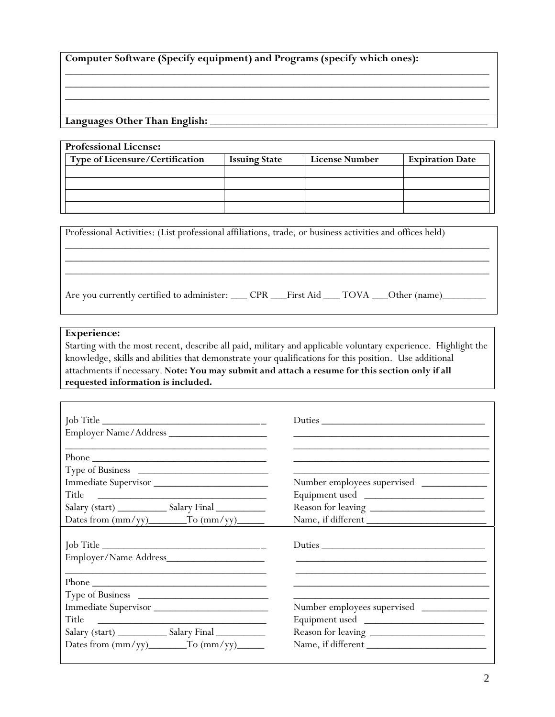|  |  |  |  | Computer Software (Specify equipment) and Programs (specify which ones): |
|--|--|--|--|--------------------------------------------------------------------------|
|--|--|--|--|--------------------------------------------------------------------------|

**Languages Other Than English:** \_\_\_\_\_\_\_\_\_\_\_\_\_\_\_\_\_\_\_\_\_\_\_\_\_\_\_\_\_\_\_\_\_\_\_\_\_\_\_\_\_\_\_\_\_\_\_\_\_\_\_

| <b>Professional License:</b>    |                      |                |                        |
|---------------------------------|----------------------|----------------|------------------------|
| Type of Licensure/Certification | <b>Issuing State</b> | License Number | <b>Expiration Date</b> |
|                                 |                      |                |                        |
|                                 |                      |                |                        |
|                                 |                      |                |                        |
|                                 |                      |                |                        |

\_\_\_\_\_\_\_\_\_\_\_\_\_\_\_\_\_\_\_\_\_\_\_\_\_\_\_\_\_\_\_\_\_\_\_\_\_\_\_\_\_\_\_\_\_\_\_\_\_\_\_\_\_\_\_\_\_\_\_\_\_\_\_\_\_\_\_\_\_\_\_\_\_\_\_\_\_\_ \_\_\_\_\_\_\_\_\_\_\_\_\_\_\_\_\_\_\_\_\_\_\_\_\_\_\_\_\_\_\_\_\_\_\_\_\_\_\_\_\_\_\_\_\_\_\_\_\_\_\_\_\_\_\_\_\_\_\_\_\_\_\_\_\_\_\_\_\_\_\_\_\_\_\_\_\_\_

| Professional Activities: (List professional affiliations, trade, or business activities and offices held)  |  |  |  |
|------------------------------------------------------------------------------------------------------------|--|--|--|
| Are you currently certified to administer: _____ CPR ____First Aid ____ TOVA ____Other (name)_____________ |  |  |  |

#### **Experience:**

Starting with the most recent, describe all paid, military and applicable voluntary experience. Highlight the knowledge, skills and abilities that demonstrate your qualifications for this position. Use additional attachments if necessary. **Note: You may submit and attach a resume for this section only if all requested information is included.**

|                                           | Duties                      |
|-------------------------------------------|-----------------------------|
| Phone                                     |                             |
|                                           |                             |
| Immediate Supervisor                      | Number employees supervised |
| Title                                     |                             |
|                                           |                             |
| Dates from (mm/yy)_______To (mm/yy)______ | Name, if different          |
| Job Title                                 | Duties                      |
| Phone                                     |                             |
| Type of Business                          |                             |
| Immediate Supervisor                      | Number employees supervised |
|                                           | Equipment used              |
|                                           |                             |
|                                           | Name, if different          |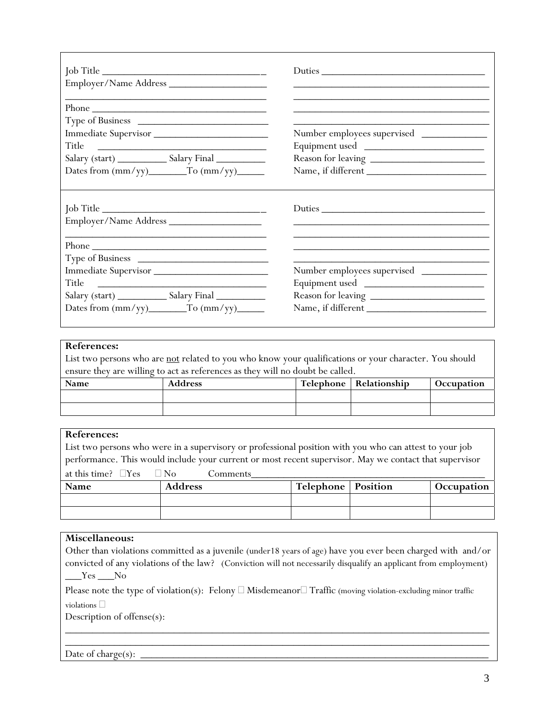|                                      | Duties                                                                                                                |
|--------------------------------------|-----------------------------------------------------------------------------------------------------------------------|
|                                      | <u> 1989 - Johann Stoff, deutscher Stoff, der Stoff, der Stoff, der Stoff, der Stoff, der Stoff, der Stoff, der S</u> |
| Phone                                |                                                                                                                       |
|                                      |                                                                                                                       |
| Immediate Supervisor                 | Number employees supervised                                                                                           |
| Title                                |                                                                                                                       |
|                                      |                                                                                                                       |
| Dates from $(mm/yy)$ To $(mm/yy)$    | Name, if different                                                                                                    |
| Job Title                            | Duties                                                                                                                |
| Phone                                |                                                                                                                       |
|                                      |                                                                                                                       |
| Immediate Supervisor                 | Number employees supervised                                                                                           |
|                                      |                                                                                                                       |
|                                      |                                                                                                                       |
| Dates from $(mm/yy)$ To $(mm/yy)$ To | Name, if different                                                                                                    |
|                                      |                                                                                                                       |

## **References:**

List two persons who are not related to you who know your qualifications or your character. You should ensure they are willing to act as references as they will no doubt be called.

| Name | <b>Address</b> | Telephone   Relationship | Occupation |
|------|----------------|--------------------------|------------|
|      |                |                          |            |
|      |                |                          |            |

| References:                              |                                                                                                         |                             |            |
|------------------------------------------|---------------------------------------------------------------------------------------------------------|-----------------------------|------------|
|                                          | List two persons who were in a supervisory or professional position with you who can attest to your job |                             |            |
|                                          | performance. This would include your current or most recent supervisor. May we contact that supervisor  |                             |            |
| at this time? $\square$ Yes $\square$ No | Comments                                                                                                |                             |            |
| Name                                     | <b>Address</b>                                                                                          | <b>Telephone</b>   Position | Occupation |
|                                          |                                                                                                         |                             |            |
|                                          |                                                                                                         |                             |            |

### **Miscellaneous:**

|          | Other than violations committed as a juvenile (under 18 years of age) have you ever been charged with and/or      |
|----------|-------------------------------------------------------------------------------------------------------------------|
|          | convicted of any violations of the law? (Conviction will not necessarily disqualify an applicant from employment) |
| $Yes$ No |                                                                                                                   |

Please note the type of violation(s): Felony  $\Box$  Misdemeanor  $\Box$  Traffic (moving violation-excluding minor traffic

\_\_\_\_\_\_\_\_\_\_\_\_\_\_\_\_\_\_\_\_\_\_\_\_\_\_\_\_\_\_\_\_\_\_\_\_\_\_\_\_\_\_\_\_\_\_\_\_\_\_\_\_\_\_\_\_\_\_\_\_\_\_\_\_\_\_\_\_\_\_\_\_\_\_\_\_\_\_

violations  $\Box$ 

Description of offense(s):

\_\_\_\_\_\_\_\_\_\_\_\_\_\_\_\_\_\_\_\_\_\_\_\_\_\_\_\_\_\_\_\_\_\_\_\_\_\_\_\_\_\_\_\_\_\_\_\_\_\_\_\_\_\_\_\_\_\_\_\_\_\_\_\_\_\_\_\_\_\_\_\_\_\_\_\_\_\_ Date of charge(s):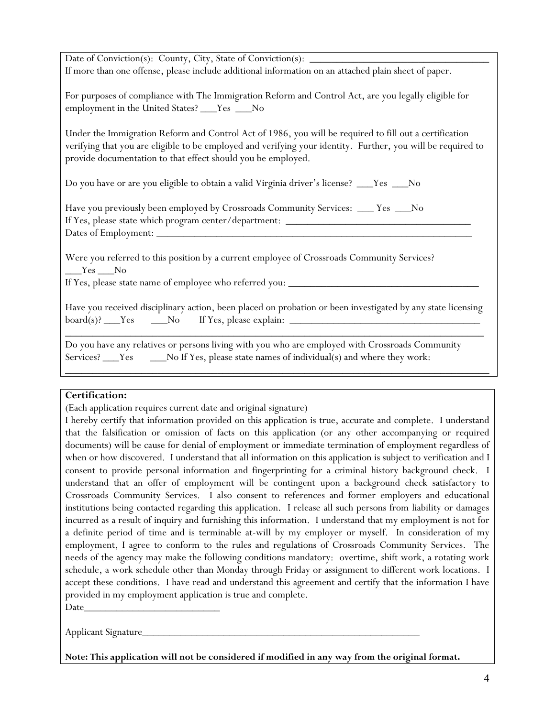| If more than one offense, please include additional information on an attached plain sheet of paper.                                                                                                                                                                                   |
|----------------------------------------------------------------------------------------------------------------------------------------------------------------------------------------------------------------------------------------------------------------------------------------|
|                                                                                                                                                                                                                                                                                        |
| For purposes of compliance with The Immigration Reform and Control Act, are you legally eligible for<br>employment in the United States? ___Yes ___No                                                                                                                                  |
| Under the Immigration Reform and Control Act of 1986, you will be required to fill out a certification<br>verifying that you are eligible to be employed and verifying your identity. Further, you will be required to<br>provide documentation to that effect should you be employed. |
| Do you have or are you eligible to obtain a valid Virginia driver's license? ___Yes ___No                                                                                                                                                                                              |
| Have you previously been employed by Crossroads Community Services: ___ Yes ___ No                                                                                                                                                                                                     |
|                                                                                                                                                                                                                                                                                        |
|                                                                                                                                                                                                                                                                                        |
|                                                                                                                                                                                                                                                                                        |
| Were you referred to this position by a current employee of Crossroads Community Services?<br>$Yes$ No                                                                                                                                                                                 |
| Have you received disciplinary action, been placed on probation or been investigated by any state licensing                                                                                                                                                                            |
| Do you have any relatives or persons living with you who are employed with Crossroads Community<br>Services? ___Yes ____No If Yes, please state names of individual(s) and where they work:                                                                                            |
|                                                                                                                                                                                                                                                                                        |

#### **Certification:**

(Each application requires current date and original signature)

I hereby certify that information provided on this application is true, accurate and complete. I understand that the falsification or omission of facts on this application (or any other accompanying or required documents) will be cause for denial of employment or immediate termination of employment regardless of when or how discovered. I understand that all information on this application is subject to verification and I consent to provide personal information and fingerprinting for a criminal history background check. I understand that an offer of employment will be contingent upon a background check satisfactory to Crossroads Community Services. I also consent to references and former employers and educational institutions being contacted regarding this application. I release all such persons from liability or damages incurred as a result of inquiry and furnishing this information. I understand that my employment is not for a definite period of time and is terminable at-will by my employer or myself. In consideration of my employment, I agree to conform to the rules and regulations of Crossroads Community Services. The needs of the agency may make the following conditions mandatory: overtime, shift work, a rotating work schedule, a work schedule other than Monday through Friday or assignment to different work locations. I accept these conditions. I have read and understand this agreement and certify that the information I have provided in my employment application is true and complete. Date\_\_\_\_\_\_\_\_\_\_\_\_\_\_\_\_\_\_\_\_\_\_\_\_\_

Applicant Signature

**Note: This application will not be considered if modified in any way from the original format.**